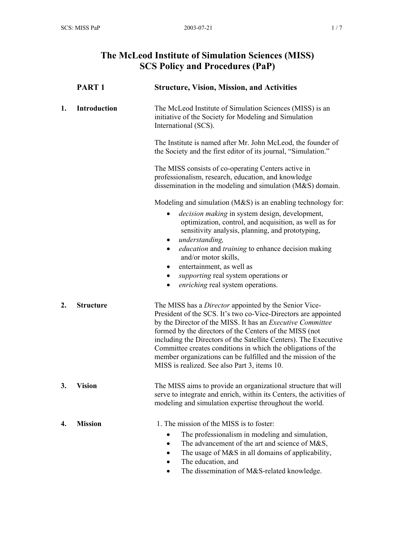# **The McLeod Institute of Simulation Sciences (MISS) SCS Policy and Procedures (PaP)**

|    | PART <sub>1</sub>   | <b>Structure, Vision, Mission, and Activities</b>                                                                                                                                                                                                                                                                                                                                                                                                                                                                  |
|----|---------------------|--------------------------------------------------------------------------------------------------------------------------------------------------------------------------------------------------------------------------------------------------------------------------------------------------------------------------------------------------------------------------------------------------------------------------------------------------------------------------------------------------------------------|
| 1. | <b>Introduction</b> | The McLeod Institute of Simulation Sciences (MISS) is an<br>initiative of the Society for Modeling and Simulation<br>International (SCS).                                                                                                                                                                                                                                                                                                                                                                          |
|    |                     | The Institute is named after Mr. John McLeod, the founder of<br>the Society and the first editor of its journal, "Simulation."                                                                                                                                                                                                                                                                                                                                                                                     |
|    |                     | The MISS consists of co-operating Centers active in<br>professionalism, research, education, and knowledge<br>dissemination in the modeling and simulation $(M&S)$ domain.                                                                                                                                                                                                                                                                                                                                         |
|    |                     | Modeling and simulation (M&S) is an enabling technology for:<br>decision making in system design, development,<br>optimization, control, and acquisition, as well as for<br>sensitivity analysis, planning, and prototyping,<br>understanding,<br>education and training to enhance decision making<br>and/or motor skills,<br>entertainment, as well as<br>٠<br>supporting real system operations or<br>$\bullet$<br>enriching real system operations.<br>$\bullet$                                               |
| 2. | <b>Structure</b>    | The MISS has a <i>Director</i> appointed by the Senior Vice-<br>President of the SCS. It's two co-Vice-Directors are appointed<br>by the Director of the MISS. It has an <i>Executive Committee</i><br>formed by the directors of the Centers of the MISS (not<br>including the Directors of the Satellite Centers). The Executive<br>Committee creates conditions in which the obligations of the<br>member organizations can be fulfilled and the mission of the<br>MISS is realized. See also Part 3, items 10. |
| 3. | <b>Vision</b>       | The MISS aims to provide an organizational structure that will<br>serve to integrate and enrich, within its Centers, the activities of<br>modeling and simulation expertise throughout the world.                                                                                                                                                                                                                                                                                                                  |
| 4. | <b>Mission</b>      | 1. The mission of the MISS is to foster:<br>The professionalism in modeling and simulation,<br>The advancement of the art and science of M&S,<br>The usage of M&S in all domains of applicability,<br>The education, and                                                                                                                                                                                                                                                                                           |

• The dissemination of M&S-related knowledge.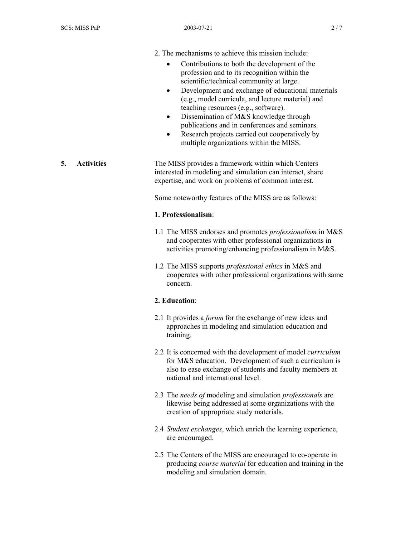- 2. The mechanisms to achieve this mission include:
	- Contributions to both the development of the profession and to its recognition within the scientific/technical community at large.
	- Development and exchange of educational materials (e.g., model curricula, and lecture material) and teaching resources (e.g., software).
	- Dissemination of M&S knowledge through publications and in conferences and seminars.
	- Research projects carried out cooperatively by multiple organizations within the MISS.
- **5. Activities** The MISS provides a framework within which Centers interested in modeling and simulation can interact, share expertise, and work on problems of common interest.

Some noteworthy features of the MISS are as follows:

#### **1. Professionalism**:

- 1.1 The MISS endorses and promotes *professionalism* in M&S and cooperates with other professional organizations in activities promoting/enhancing professionalism in M&S.
- 1.2 The MISS supports *professional ethics* in M&S and cooperates with other professional organizations with same concern.

#### **2. Education**:

- 2.1 It provides a *forum* for the exchange of new ideas and approaches in modeling and simulation education and training.
- 2.2 It is concerned with the development of model *curriculum* for M&S education. Development of such a curriculum is also to ease exchange of students and faculty members at national and international level.
- 2.3 The *needs of* modeling and simulation *professionals* are likewise being addressed at some organizations with the creation of appropriate study materials.
- 2.4 *Student exchanges*, which enrich the learning experience, are encouraged.
- 2.5 The Centers of the MISS are encouraged to co-operate in producing *course material* for education and training in the modeling and simulation domain.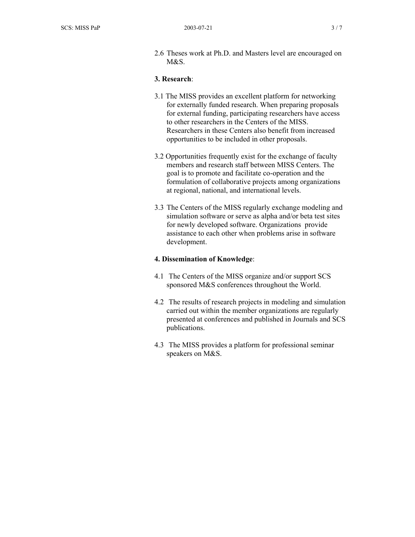2.6 Theses work at Ph.D. and Masters level are encouraged on  $M&S$ 

#### **3. Research**:

- 3.1 The MISS provides an excellent platform for networking for externally funded research. When preparing proposals for external funding, participating researchers have access to other researchers in the Centers of the MISS. Researchers in these Centers also benefit from increased opportunities to be included in other proposals.
- 3.2 Opportunities frequently exist for the exchange of faculty members and research staff between MISS Centers. The goal is to promote and facilitate co-operation and the formulation of collaborative projects among organizations at regional, national, and international levels.
- 3.3 The Centers of the MISS regularly exchange modeling and simulation software or serve as alpha and/or beta test sites for newly developed software. Organizations provide assistance to each other when problems arise in software development.

#### **4. Dissemination of Knowledge**:

- 4.1 The Centers of the MISS organize and/or support SCS sponsored M&S conferences throughout the World.
- 4.2 The results of research projects in modeling and simulation carried out within the member organizations are regularly presented at conferences and published in Journals and SCS publications.
- 4.3 The MISS provides a platform for professional seminar speakers on M&S.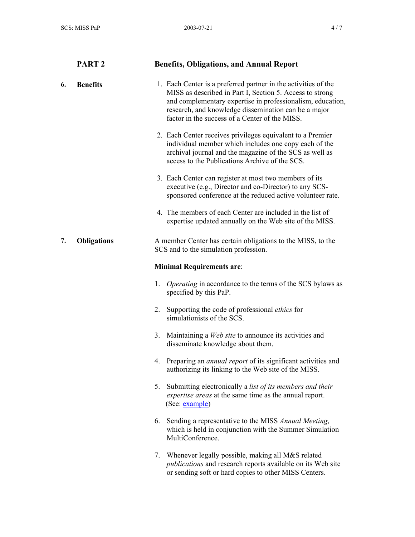|    | PART <sub>2</sub>  | <b>Benefits, Obligations, and Annual Report</b>                                                                                                                                                                                                                                                    |
|----|--------------------|----------------------------------------------------------------------------------------------------------------------------------------------------------------------------------------------------------------------------------------------------------------------------------------------------|
| 6. | <b>Benefits</b>    | 1. Each Center is a preferred partner in the activities of the<br>MISS as described in Part I, Section 5. Access to strong<br>and complementary expertise in professionalism, education,<br>research, and knowledge dissemination can be a major<br>factor in the success of a Center of the MISS. |
|    |                    | 2. Each Center receives privileges equivalent to a Premier<br>individual member which includes one copy each of the<br>archival journal and the magazine of the SCS as well as<br>access to the Publications Archive of the SCS.                                                                   |
|    |                    | 3. Each Center can register at most two members of its<br>executive (e.g., Director and co-Director) to any SCS-<br>sponsored conference at the reduced active volunteer rate.                                                                                                                     |
|    |                    | 4. The members of each Center are included in the list of<br>expertise updated annually on the Web site of the MISS.                                                                                                                                                                               |
| 7. | <b>Obligations</b> | A member Center has certain obligations to the MISS, to the<br>SCS and to the simulation profession.                                                                                                                                                                                               |
|    |                    | <b>Minimal Requirements are:</b>                                                                                                                                                                                                                                                                   |
|    |                    | 1.<br><i>Operating</i> in accordance to the terms of the SCS bylaws as<br>specified by this PaP.                                                                                                                                                                                                   |
|    |                    | Supporting the code of professional ethics for<br>2.<br>simulationists of the SCS.                                                                                                                                                                                                                 |
|    |                    | Maintaining a <i>Web site</i> to announce its activities and<br>3.<br>disseminate knowledge about them.                                                                                                                                                                                            |
|    |                    | 4. Preparing an <i>annual report</i> of its significant activities and<br>authorizing its linking to the Web site of the MISS.                                                                                                                                                                     |
|    |                    | Submitting electronically a list of its members and their<br>5.<br><i>expertise areas</i> at the same time as the annual report.<br>(See: example)                                                                                                                                                 |
|    |                    | Sending a representative to the MISS Annual Meeting,<br>6.<br>which is held in conjunction with the Summer Simulation<br>MultiConference.                                                                                                                                                          |
|    |                    | Whenever legally possible, making all M&S related<br>7.<br>publications and research reports available on its Web site<br>or sending soft or hard copies to other MISS Centers.                                                                                                                    |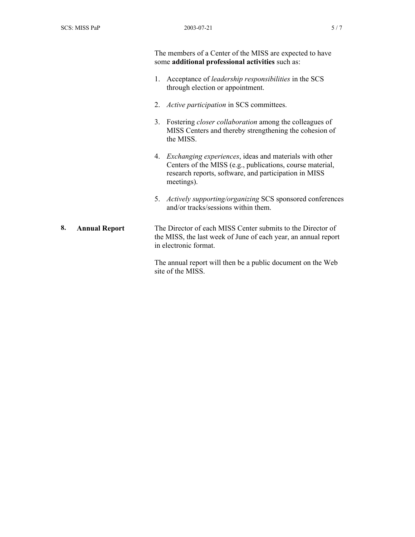| The members of a Center of the MISS are expected to have |
|----------------------------------------------------------|
| some additional professional activities such as:         |

- 1. Acceptance of *leadership responsibilities* in the SCS through election or appointment.
- 2. *Active participation* in SCS committees.
- 3. Fostering *closer collaboration* among the colleagues of MISS Centers and thereby strengthening the cohesion of the MISS.
- 4. *Exchanging experiences*, ideas and materials with other Centers of the MISS (e.g., publications, course material, research reports, software, and participation in MISS meetings).
- 5. *Actively supporting/organizing* SCS sponsored conferences and/or tracks/sessions within them.

## 8. **Annual Report** The Director of each MISS Center submits to the Director of the MISS, the last week of June of each year, an annual report in electronic format.

The annual report will then be a public document on the Web site of the MISS.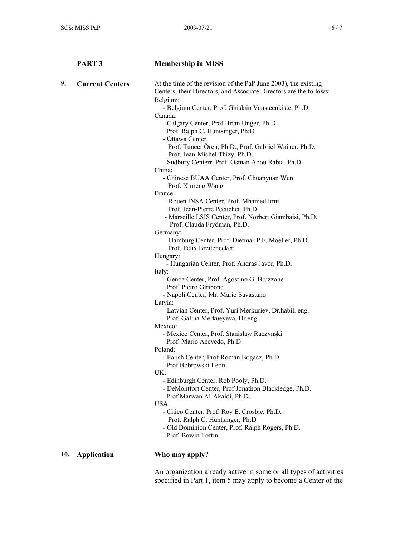## PART 3 **Membership in MISS**

| 9. | <b>Current Centers</b> | At the time of the revision of the PaP June 2003), the existing<br>Centers, their Directors, and Associate Directors are the follows: |
|----|------------------------|---------------------------------------------------------------------------------------------------------------------------------------|
|    |                        | Belgium:<br>- Belgium Center, Prof. Ghislain Vansteenkiste, Ph.D.                                                                     |
|    |                        | Canada:<br>- Calgary Center, Prof Brian Unger, Ph.D.                                                                                  |
|    |                        | Prof. Ralph C. Huntsinger, Ph:D<br>- Ottawa Center,                                                                                   |
|    |                        | Prof. Tuncer Ören, Ph.D., Prof. Gabriel Wainer, Ph.D.<br>Prof. Jean-Michel Thizy, Ph.D.                                               |
|    |                        | - Sudbury Centerr, Prof. Osman Abou Rabia, Ph.D.                                                                                      |
|    |                        | China:<br>- Chinese BUAA Center, Prof. Chuanyuan Wen<br>Prof. Xinreng Wang                                                            |
|    |                        | France:                                                                                                                               |
|    |                        | - Rouen INSA Center, Prof. Mhamed Itmi<br>Prof. Jean-Pierre Pecuchet, Ph.D.                                                           |
|    |                        | - Marseille LSIS Center, Prof. Norbert Giambaisi, Ph.D.<br>Prof. Clauda Frydman, Ph.D.                                                |
|    |                        | Germany:<br>- Hamburg Center, Prof. Dietmar P.F. Moeller, Ph.D.<br>Prof. Felix Breitenecker                                           |
|    |                        | Hungary:<br>- Hungarian Center, Prof. Andras Javor, Ph.D.                                                                             |
|    |                        | Italy:                                                                                                                                |
|    |                        | - Genoa Center, Prof. Agostino G. Bruzzone<br>Prof. Pietro Giribone                                                                   |
|    |                        | - Napoli Center, Mr. Mario Savastano                                                                                                  |
|    |                        | Latvia:<br>- Latvian Center, Prof. Yuri Merkuriev, Dr.habil. eng.                                                                     |
|    |                        | Prof. Galina Merkueyeva, Dr.eng.<br>Mexico:                                                                                           |
|    |                        | - Mexico Center, Prof. Stanislaw Raczynski<br>Prof. Mario Acevedo, Ph.D                                                               |
|    |                        | Poland:<br>- Polish Center, Prof Roman Bogacz, Ph.D.<br>Prof Bobrowski Leon                                                           |
|    |                        | UK:                                                                                                                                   |
|    |                        | - Edinburgh Center, Rob Pooly, Ph.D.<br>- DeMontfort Center, Prof Jonathon Blackledge, Ph.D.<br>Prof Marwan Al-Akaidi, Ph.D.          |
|    |                        | USA:                                                                                                                                  |
|    |                        | - Chico Center, Prof. Roy E. Crosbie, Ph.D.<br>Prof. Ralph C. Huntsinger, Ph:D                                                        |
|    |                        | - Old Dominion Center, Prof. Ralph Rogers, Ph.D.<br>Prof. Bowin Loftin                                                                |
|    |                        |                                                                                                                                       |

# **10. Application Who may apply?**

An organization already active in some or all types of activities specified in Part 1, item 5 may apply to become a Center of the